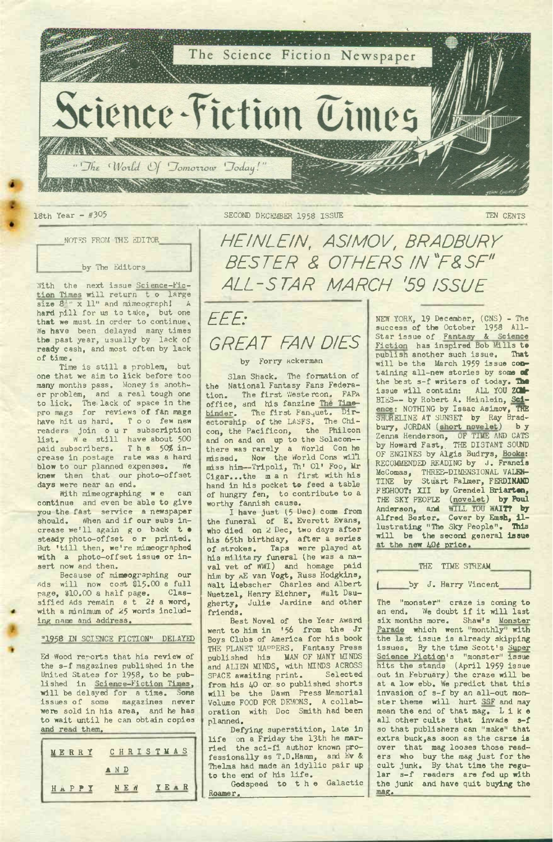

NOTES FROM THE EDITOR

by The Editors

With the next issue Science-Fiction Times will return to large<br>size  $8^{4}$  x 11" and mimeograph! A x 11" and mimeograph! A hard pill for us to take, but one that we must in order to continue. We have been delayed many times the past year, usually by lack of ready cash, and most often by lack of time.

Time is still <sup>a</sup> problem, but one that we aim to lick before too many months pass. Money is anoth-<br>er problem, and a real tough one er problem, and a real tough one<br>to lick. The lack of space in the<br>pro mags for reviews of fan mags have hit us hard. Too few new readers join our subscription list. We still have about 500<br>paid subscribers. The 50% in-<br>crease in postage rate was a hard blow to our planned expenses. We knew then that our photo-offset days were near an end.

With mimeographing w e can continue and even be able to give you the fast service a newspaper should. When and if our subs increase we'll again g <sup>o</sup> back t • steady photo-offset <sup>o</sup> r printed. But 'till then, we're mimeographed with a photo-offset issue or in-sert now and then.

Because of mimeographing our ads will now cost \$15.00 <sup>a</sup> full page, \$10.00 a half page. Clas-<br>sified Ads remain at 2t a word,<br>with a minimum of 25 words including name and address.

## "1958 IN SCIENCE FICTION" DELAYED

Ed Wood reports that his review of the s-f magazines published in the United States for 1958, to be published in Science-Fiction Times, will be delayed for <sup>a</sup> time. Some issues of some magazines never were sold in his area, and he has to wait until he can obtain copies and read them.



*HEINLEIN, ASIMOV, BRADBURY BESTER & OTHERS IN "F&SF" ALL-STAR MARCH '59 ISSUE*

*EEE: GREAT FAN DIES*

## by Forry Ackerman

Sian Shack. The formation of the National Fantasy Fans Federation. The first Westercon. office, and his fanzine The Timebinder. The first Fanquet. Dir-<br>ectorship of the LASFS. The Chi-<br>con, the Pacificon, the Philcon and on and on up to the Solacon-there was rarely a World Con he missed. Now the World Cons will miss him—Tripoli, Th' 01' Foo, Mr Cigar...the man first with his hand in his pocket to feed a table of hungry fen, to contribute to a

worthy fannish cause. I have just (5 Dec) come from the funeral of E. Everett Evans, who died on 2 Dec, two days after his 65th birthday, after a series of strokes. Taps were played at his military funeral (he was a na-<br>val vet of WWI) and homage paid him by <sup>a</sup>E van Vogt, Russ Hodgkins, Walt Liebscher Charles and Albert Nuetzel, Henry Eichner, Walt Dau-gherty, Julie Jardine and other friends.

Best Novel of the Year Award went to him in '56 from the Jr Boys Clubs of America for his book THE PLANET MAPPERS. Fantasy Press<br>published his MAN OF MANY MINDS<br>and ALIEN MINDS, with MINDS ACROSS SPACE awaiting print. Selected from his 40 or so published shorts will be the Dawn Press Memorial Volume FOOD FOR DEMONS. <sup>A</sup> collaboration with Doc Smith had been planned.

Defying superstition, late in life on <sup>a</sup> Friday the 13th he married the sci-fi author known professionally as T.D.Hamm, and Ev &<br>Thelma had made an idyllic pair up to the end of his life.

Godspeed to the Galactic Roamer.

NEW YORK, 19 December, (CNS) - The success of the October 1958 All-<br>Star issue of Fantasy & Science Star issue of Fantasy Fiction has inspired Bob Mills te publish another such issue. **That** will be the March 1959 issue containing all-new stories by soma **of** the best s-f writers of today. The issue will contain: ALL YOU ZCM-<br>BIES-- by Robert A. Heinlein, Sci-<br>ence: NOTHING by Isaac Asimov, THE SHORELINE AT SUNSET by Ray Bradbury, JORDAN (short novelet) b y Zenna Henderson, OF TIME AND CATS<br>by Howard Fast, THE DISTANT SOUND<br>OF ENGINES by Algis Budrys, Books: RECOMMENDED READING by J. Francis McComas, THREE-DIMENSIONAL VALEN-TINE by Stuart Palmer, FERDINAND FEGHOOT: XII by Grendel **Briartan,** THE SKY PEOPIE (novelet) **by Poul** Anderson, and WILL YOU **WAIT? by** Alfred Bester. Cover by **Emsh, il-**lustrating "The Sky People". **This** will be the second general **issue** at the new  $40¢$  price.

THE TIME STREAM

## by J. Harry Vincent

The "monster" craze is coming to an end. We doubt if it will last six months more. Shaw's Monster<br>Parade which went "monthly" with Parade which went "monthly" the last issue is already skipping issues. By the time Scott's Super Science Fiction's "monster" issue hits the stands (April 1959 issue out in February) the craze will be at a low ebb. We predict that this invasion of s-f by an all-out monster theme will hurt SSF and may<br>mean the end of that mag. Like all other cults that invade s-f so that publishers can "make" that extra buck,as soon as the carze is over that mag looses those readers who buy the mag just for the cult junk. By that time the regular s-f readers are fed up with the junk and have quit buying the mag.